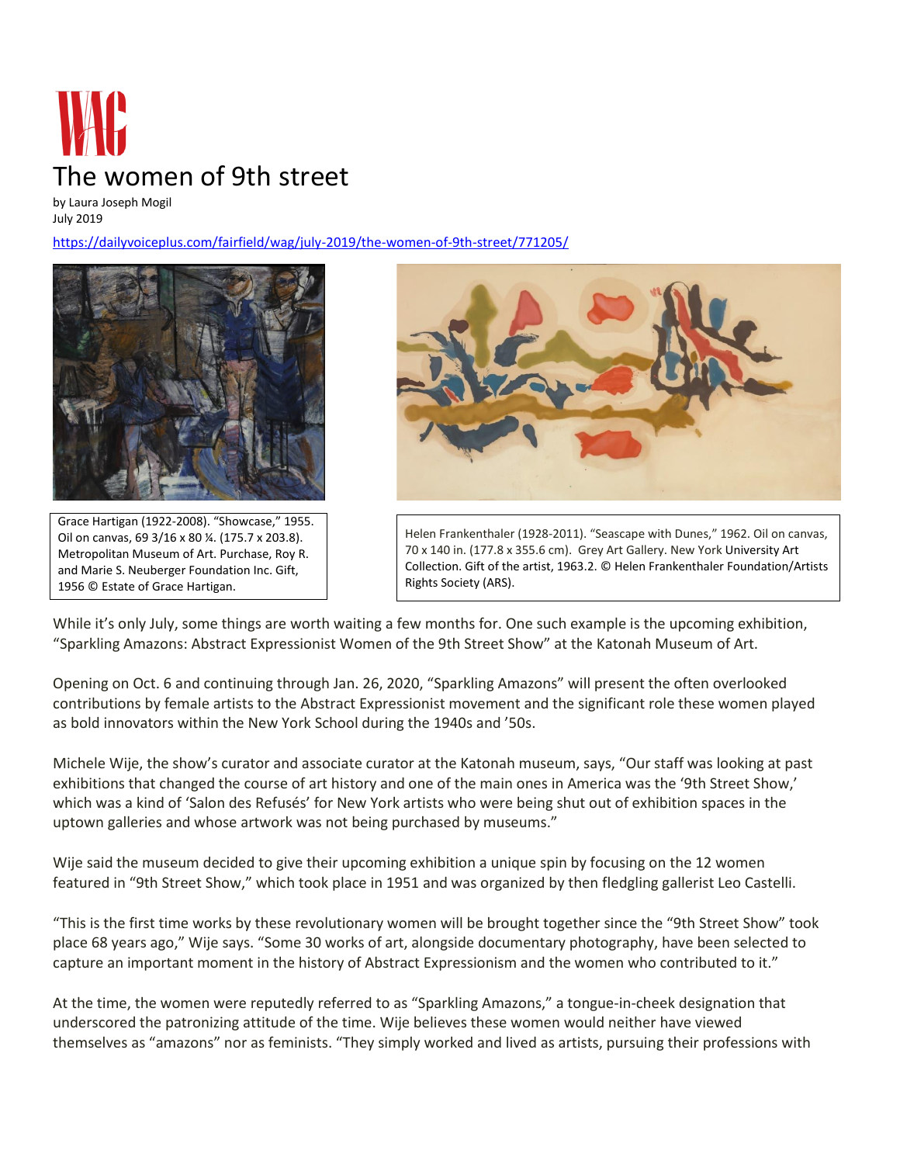

by Laura Joseph Mogil July 2019

<https://dailyvoiceplus.com/fairfield/wag/july-2019/the-women-of-9th-street/771205/>



Grace Hartigan (1922-2008). "Showcase," 1955. Oil on canvas, 69 3/16 x 80 ¼. (175.7 x 203.8). Metropolitan Museum of Art. Purchase, Roy R. and Marie S. Neuberger Foundation Inc. Gift, 1956 © Estate of Grace Hartigan.



Helen Frankenthaler (1928-2011). "Seascape with Dunes," 1962. Oil on canvas, 70 x 140 in. (177.8 x 355.6 cm). Grey Art Gallery. New York University Art Collection. Gift of the artist, 1963.2. © Helen Frankenthaler Foundation/Artists Rights Society (ARS).

While it's only July, some things are worth waiting a few months for. One such example is the upcoming exhibition, "Sparkling Amazons: Abstract Expressionist Women of the 9th Street Show" at the Katonah Museum of Art.

Opening on Oct. 6 and continuing through Jan. 26, 2020, "Sparkling Amazons" will present the often overlooked contributions by female artists to the Abstract Expressionist movement and the significant role these women played as bold innovators within the New York School during the 1940s and '50s.

Michele Wije, the show's curator and associate curator at the Katonah museum, says, "Our staff was looking at past exhibitions that changed the course of art history and one of the main ones in America was the '9th Street Show,' which was a kind of 'Salon des Refusés' for New York artists who were being shut out of exhibition spaces in the uptown galleries and whose artwork was not being purchased by museums."

Wije said the museum decided to give their upcoming exhibition a unique spin by focusing on the 12 women featured in "9th Street Show," which took place in 1951 and was organized by then fledgling gallerist Leo Castelli.

"This is the first time works by these revolutionary women will be brought together since the "9th Street Show" took place 68 years ago," Wije says. "Some 30 works of art, alongside documentary photography, have been selected to capture an important moment in the history of Abstract Expressionism and the women who contributed to it."

At the time, the women were reputedly referred to as "Sparkling Amazons," a tongue-in-cheek designation that underscored the patronizing attitude of the time. Wije believes these women would neither have viewed themselves as "amazons" nor as feminists. "They simply worked and lived as artists, pursuing their professions with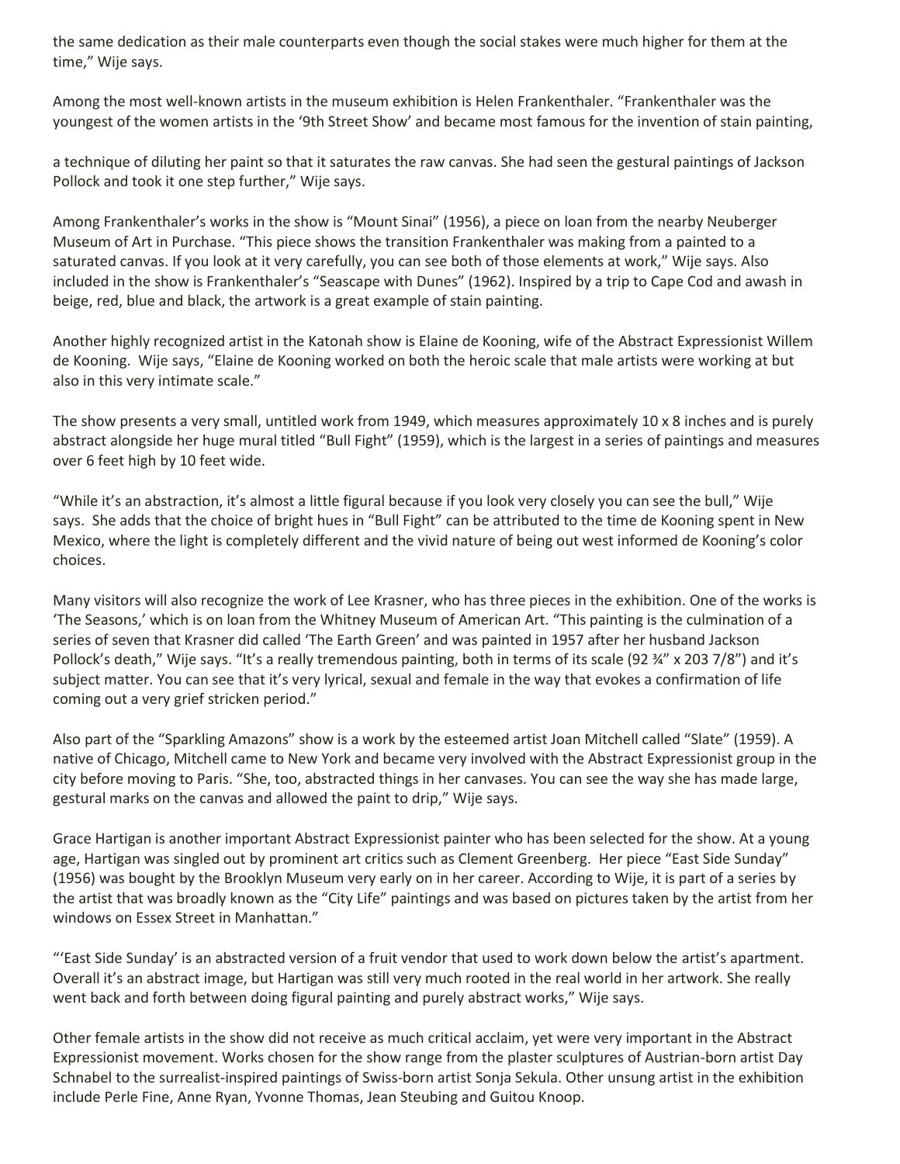the same dedication as their male counterparts even though the social stakes were much higher for them at the time," Wije says.

Among the most well-known artists in the museum exhibition is Helen Frankenthaler. "Frankenthaler was the youngest of the women artists in the '9th Street Show' and became most famous for the invention of stain painting,

a technique of diluting her paint so that it saturates the raw canvas. She had seen the gestural paintings of Jackson Pollock and took it one step further," Wije says.

Among Frankenthaler's works in the show is "Mount Sinai" (1956), a piece on loan from the nearby Neuberger Museum of Art in Purchase. "This piece shows the transition Frankenthaler was making from a painted to a saturated canvas. If you look at it very carefully, you can see both of those elements at work," Wije says. Also included in the show is Frankenthaler's "Seascape with Dunes" (1962). Inspired by a trip to Cape Cod and awash in beige, red, blue and black, the artwork is a great example of stain painting.

Another highly recognized artist in the Katonah show is Elaine de Kooning, wife of the Abstract Expressionist Willem de Kooning. Wije says, "Elaine de Kooning worked on both the heroic scale that male artists were working at but also in this very intimate scale."

The show presents a very small, untitled work from 1949, which measures approximately 10 x 8 inches and is purely abstract alongside her huge mural titled "Bull Fight" (1959), which is the largest in a series of paintings and measures over 6 feet high by 10 feet wide.

"While it's an abstraction, it's almost a little figural because if you look very closely you can see the bull," Wije says. She adds that the choice of bright hues in "Bull Fight" can be attributed to the time de Kooning spent in New Mexico, where the light is completely different and the vivid nature of being out west informed de Kooning's color choices.

Many visitors will also recognize the work of Lee Krasner, who has three pieces in the exhibition. One of the works is 'The Seasons,' which is on loan from the Whitney Museum of American Art. "This painting is the culmination of a series of seven that Krasner did called 'The Earth Green' and was painted in 1957 after her husband Jackson Pollock's death," Wije says. "It's a really tremendous painting, both in terms of its scale (92 ¾" x 203 7/8") and it's subject matter. You can see that it's very lyrical, sexual and female in the way that evokes a confirmation of life coming out a very grief stricken period."

Also part of the "Sparkling Amazons" show is a work by the esteemed artist Joan Mitchell called "Slate" (1959). A native of Chicago, Mitchell came to New York and became very involved with the Abstract Expressionist group in the city before moving to Paris. "She, too, abstracted things in her canvases. You can see the way she has made large, gestural marks on the canvas and allowed the paint to drip," Wije says.

Grace Hartigan is another important Abstract Expressionist painter who has been selected for the show. At a young age, Hartigan was singled out by prominent art critics such as Clement Greenberg. Her piece "East Side Sunday" (1956) was bought by the Brooklyn Museum very early on in her career. According to Wije, it is part of a series by the artist that was broadly known as the "City Life" paintings and was based on pictures taken by the artist from her windows on Essex Street in Manhattan."

"'East Side Sunday' is an abstracted version of a fruit vendor that used to work down below the artist's apartment. Overall it's an abstract image, but Hartigan was still very much rooted in the real world in her artwork. She really went back and forth between doing figural painting and purely abstract works," Wije says.

Other female artists in the show did not receive as much critical acclaim, yet were very important in the Abstract Expressionist movement. Works chosen for the show range from the plaster sculptures of Austrian-born artist Day Schnabel to the surrealist-inspired paintings of Swiss-born artist Sonja Sekula. Other unsung artist in the exhibition include Perle Fine, Anne Ryan, Yvonne Thomas, Jean Steubing and Guitou Knoop.